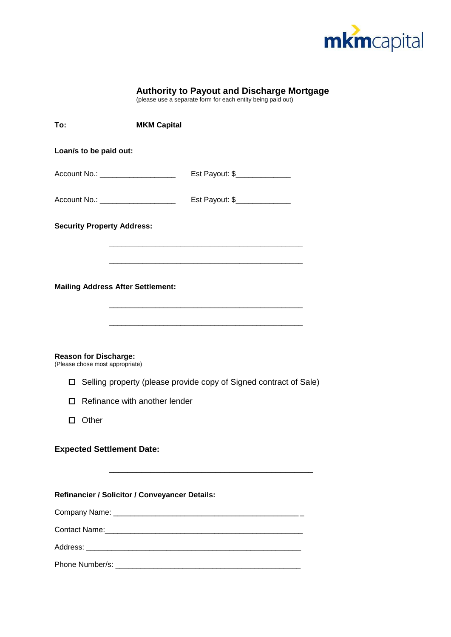

| <b>Authority to Payout and Discharge Mortgage</b> |  |  |  |
|---------------------------------------------------|--|--|--|
|                                                   |  |  |  |

(please use a separate form for each entity being paid out)

| To:    |                                                                 | <b>MKM Capital</b>                                                |
|--------|-----------------------------------------------------------------|-------------------------------------------------------------------|
|        | Loan/s to be paid out:                                          |                                                                   |
|        | Account No.: ______________________                             | Est Payout: \$                                                    |
|        |                                                                 |                                                                   |
|        | <b>Security Property Address:</b>                               |                                                                   |
|        | <b>Mailing Address After Settlement:</b>                        |                                                                   |
|        | <b>Reason for Discharge:</b><br>(Please chose most appropriate) |                                                                   |
| ◻      |                                                                 | Selling property (please provide copy of Signed contract of Sale) |
| П      | Refinance with another lender                                   |                                                                   |
| $\Box$ | Other                                                           |                                                                   |
|        | <b>Expected Settlement Date:</b>                                |                                                                   |
|        |                                                                 | Refinancier / Solicitor / Conveyancer Details:                    |
|        |                                                                 |                                                                   |
|        |                                                                 |                                                                   |
|        |                                                                 |                                                                   |
|        |                                                                 |                                                                   |